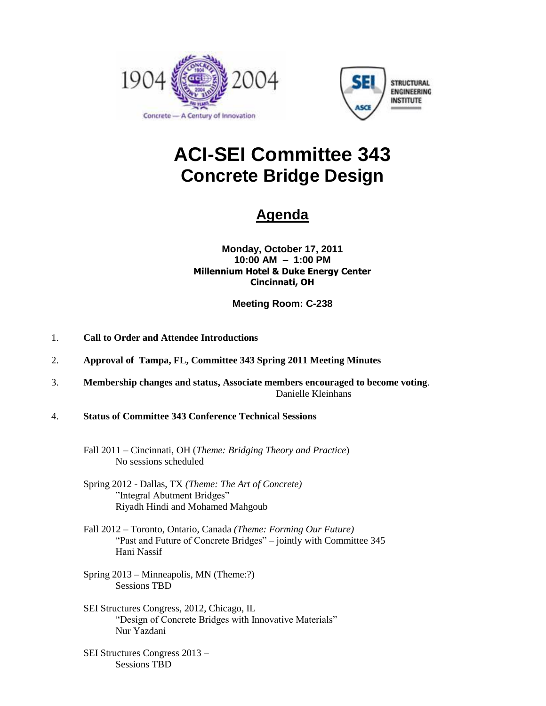



# **ACI-SEI Committee 343 Concrete Bridge Design**

## **Agenda**

**Monday, October 17, 2011 10:00 AM – 1:00 PM Millennium Hotel & Duke Energy Center Cincinnati, OH**

**Meeting Room: C-238**

- 1. **Call to Order and Attendee Introductions**
- 2. **Approval of Tampa, FL, Committee 343 Spring 2011 Meeting Minutes**
- 3. **Membership changes and status, Associate members encouraged to become voting**. Danielle Kleinhans
- 4. **Status of Committee 343 Conference Technical Sessions**
	- Fall 2011 Cincinnati, OH (*Theme: Bridging Theory and Practice*) No sessions scheduled
	- Spring 2012 Dallas, TX *(Theme: The Art of Concrete)* "Integral Abutment Bridges" Riyadh Hindi and Mohamed Mahgoub
	- Fall 2012 Toronto, Ontario, Canada *(Theme: Forming Our Future)* "Past and Future of Concrete Bridges" – jointly with Committee 345 Hani Nassif
	- Spring 2013 Minneapolis, MN (Theme:?) Sessions TBD
	- SEI Structures Congress, 2012, Chicago, IL "Design of Concrete Bridges with Innovative Materials" Nur Yazdani
	- SEI Structures Congress 2013 Sessions TBD